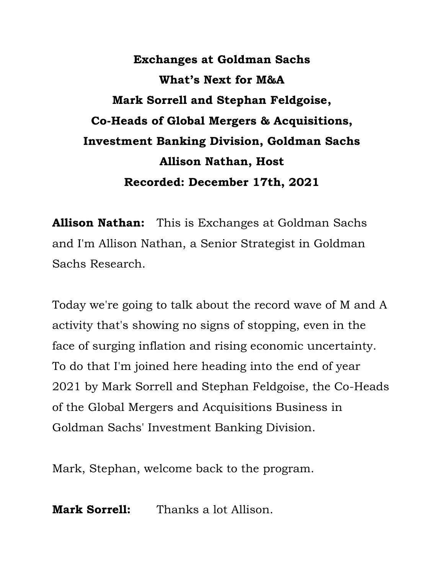**Exchanges at Goldman Sachs What's Next for M&A Mark Sorrell and Stephan Feldgoise, Co-Heads of Global Mergers & Acquisitions, Investment Banking Division, Goldman Sachs Allison Nathan, Host Recorded: December 17th, 2021** 

 **Allison Nathan:** This is Exchanges at Goldman Sachs and I'm Allison Nathan, a Senior Strategist in Goldman Sachs Research.

 Today we're going to talk about the record wave of M and A activity that's showing no signs of stopping, even in the face of surging inflation and rising economic uncertainty. To do that I'm joined here heading into the end of year 2021 by Mark Sorrell and Stephan Feldgoise, the Co-Heads of the Global Mergers and Acquisitions Business in Goldman Sachs' Investment Banking Division.

Mark, Stephan, welcome back to the program.

**Mark Sorrell:** Thanks a lot Allison.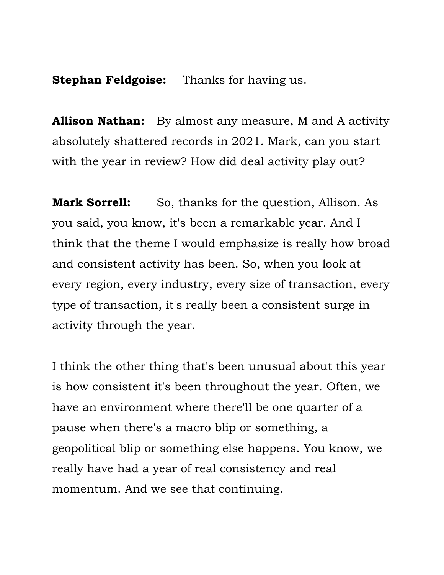**Stephan Feldgoise:** Thanks for having us.

 absolutely shattered records in 2021. Mark, can you start with the year in review? How did deal activity play out? **Allison Nathan:** By almost any measure, M and A activity

**Mark Sorrell:** So, thanks for the question, Allison. As you said, you know, it's been a remarkable year. And I think that the theme I would emphasize is really how broad and consistent activity has been. So, when you look at every region, every industry, every size of transaction, every type of transaction, it's really been a consistent surge in activity through the year.

 I think the other thing that's been unusual about this year is how consistent it's been throughout the year. Often, we have an environment where there'll be one quarter of a pause when there's a macro blip or something, a geopolitical blip or something else happens. You know, we momentum. And we see that continuing. really have had a year of real consistency and real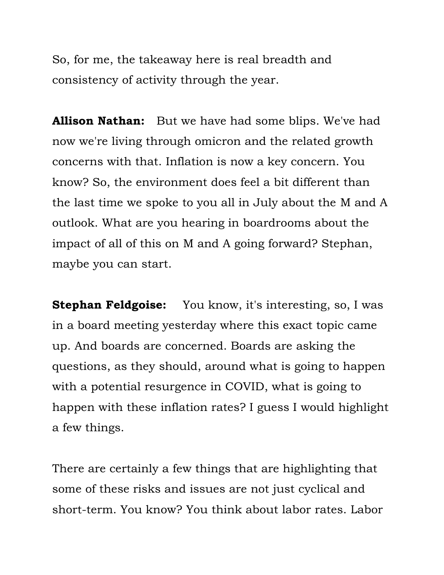So, for me, the takeaway here is real breadth and consistency of activity through the year.

 **Allison Nathan:** But we have had some blips. We've had now we're living through omicron and the related growth concerns with that. Inflation is now a key concern. You know? So, the environment does feel a bit different than the last time we spoke to you all in July about the M and A outlook. What are you hearing in boardrooms about the impact of all of this on M and A going forward? Stephan, maybe you can start.

 **Stephan Feldgoise:** You know, it's interesting, so, I was in a board meeting yesterday where this exact topic came up. And boards are concerned. Boards are asking the questions, as they should, around what is going to happen with a potential resurgence in COVID, what is going to happen with these inflation rates? I guess I would highlight a few things.

 There are certainly a few things that are highlighting that some of these risks and issues are not just cyclical and short-term. You know? You think about labor rates. Labor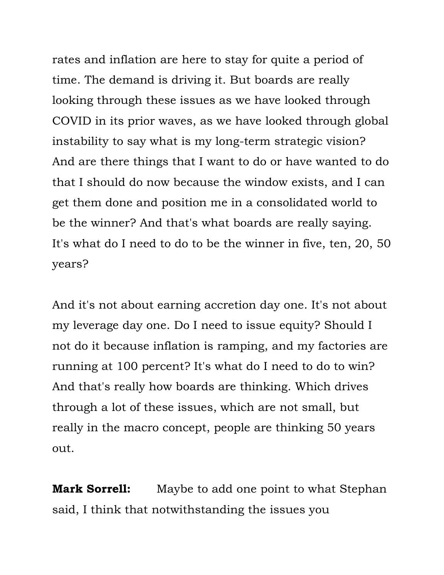rates and inflation are here to stay for quite a period of time. The demand is driving it. But boards are really looking through these issues as we have looked through COVID in its prior waves, as we have looked through global And are there things that I want to do or have wanted to do that I should do now because the window exists, and I can get them done and position me in a consolidated world to be the winner? And that's what boards are really saying. It's what do I need to do to be the winner in five, ten, 20, 50 instability to say what is my long-term strategic vision? years?

 And it's not about earning accretion day one. It's not about my leverage day one. Do I need to issue equity? Should I not do it because inflation is ramping, and my factories are running at 100 percent? It's what do I need to do to win? And that's really how boards are thinking. Which drives through a lot of these issues, which are not small, but really in the macro concept, people are thinking 50 years out.

 **Mark Sorrell:** Maybe to add one point to what Stephan said, I think that notwithstanding the issues you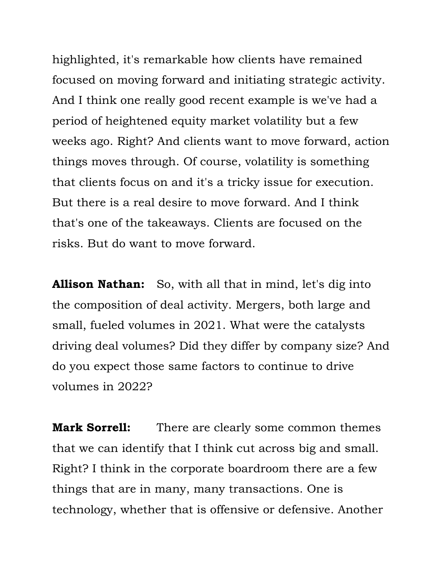highlighted, it's remarkable how clients have remained focused on moving forward and initiating strategic activity. And I think one really good recent example is we've had a period of heightened equity market volatility but a few weeks ago. Right? And clients want to move forward, action things moves through. Of course, volatility is something that clients focus on and it's a tricky issue for execution. But there is a real desire to move forward. And I think that's one of the takeaways. Clients are focused on the risks. But do want to move forward.

 **Allison Nathan:** So, with all that in mind, let's dig into small, fueled volumes in 2021. What were the catalysts driving deal volumes? Did they differ by company size? And do you expect those same factors to continue to drive the composition of deal activity. Mergers, both large and volumes in 2022?

 **Mark Sorrell:** There are clearly some common themes that we can identify that I think cut across big and small. Right? I think in the corporate boardroom there are a few things that are in many, many transactions. One is technology, whether that is offensive or defensive. Another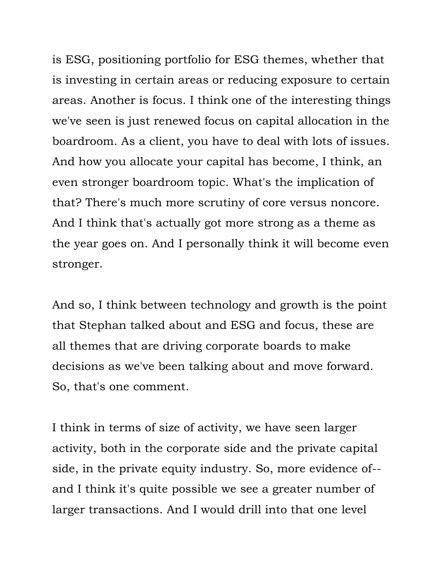is ESG, positioning portfolio for ESG themes, whether that is investing in certain areas or reducing exposure to certain areas. Another is focus. I think one of the interesting things boardroom. As a client, you have to deal with lots of issues. And how you allocate your capital has become, I think, an that? There's much more scrutiny of core versus noncore. And I think that's actually got more strong as a theme as the year goes on. And I personally think it will become even we've seen is just renewed focus on capital allocation in the even stronger boardroom topic. What's the implication of stronger.

 And so, I think between technology and growth is the point that Stephan talked about and ESG and focus, these are all themes that are driving corporate boards to make decisions as we've been talking about and move forward. So, that's one comment.

 I think in terms of size of activity, we have seen larger activity, both in the corporate side and the private capital side, in the private equity industry. So, more evidence of-- and I think it's quite possible we see a greater number of larger transactions. And I would drill into that one level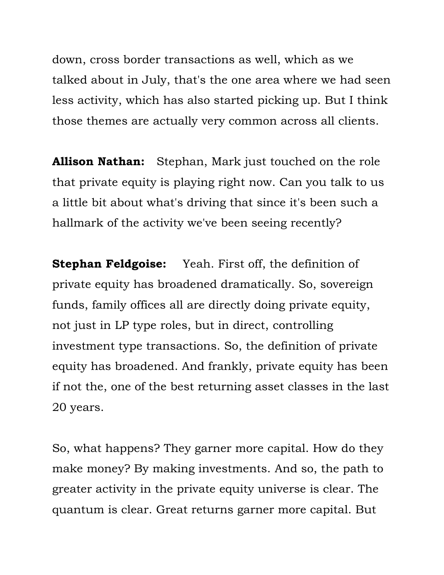talked about in July, that's the one area where we had seen less activity, which has also started picking up. But I think those themes are actually very common across all clients. down, cross border transactions as well, which as we

 **Allison Nathan:** Stephan, Mark just touched on the role that private equity is playing right now. Can you talk to us a little bit about what's driving that since it's been such a hallmark of the activity we've been seeing recently?

 **Stephan Feldgoise:** Yeah. First off, the definition of private equity has broadened dramatically. So, sovereign funds, family offices all are directly doing private equity, not just in LP type roles, but in direct, controlling investment type transactions. So, the definition of private if not the, one of the best returning asset classes in the last equity has broadened. And frankly, private equity has been 20 years.

 So, what happens? They garner more capital. How do they make money? By making investments. And so, the path to greater activity in the private equity universe is clear. The quantum is clear. Great returns garner more capital. But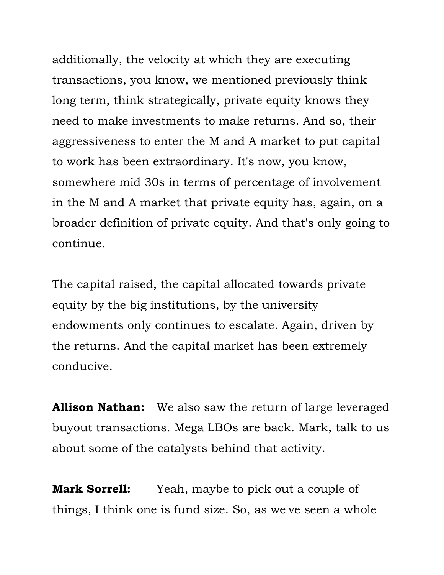additionally, the velocity at which they are executing transactions, you know, we mentioned previously think long term, think strategically, private equity knows they need to make investments to make returns. And so, their aggressiveness to enter the M and A market to put capital to work has been extraordinary. It's now, you know, somewhere mid 30s in terms of percentage of involvement in the M and A market that private equity has, again, on a broader definition of private equity. And that's only going to continue.

 The capital raised, the capital allocated towards private endowments only continues to escalate. Again, driven by the returns. And the capital market has been extremely equity by the big institutions, by the university conducive.

 **Allison Nathan:** We also saw the return of large leveraged buyout transactions. Mega LBOs are back. Mark, talk to us about some of the catalysts behind that activity.

 **Mark Sorrell:** Yeah, maybe to pick out a couple of things, I think one is fund size. So, as we've seen a whole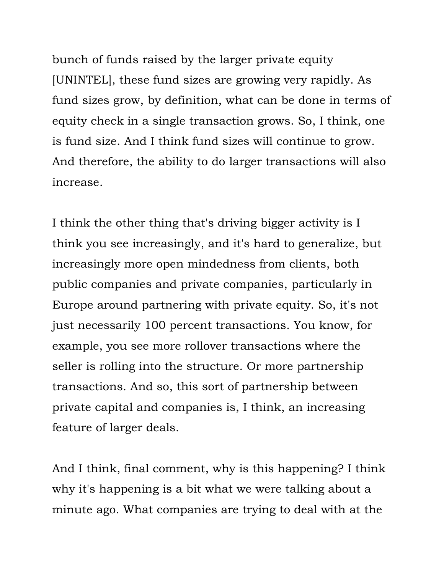bunch of funds raised by the larger private equity fund sizes grow, by definition, what can be done in terms of equity check in a single transaction grows. So, I think, one is fund size. And I think fund sizes will continue to grow. And therefore, the ability to do larger transactions will also [UNINTEL], these fund sizes are growing very rapidly. As increase.

 I think the other thing that's driving bigger activity is I think you see increasingly, and it's hard to generalize, but increasingly more open mindedness from clients, both Europe around partnering with private equity. So, it's not just necessarily 100 percent transactions. You know, for example, you see more rollover transactions where the seller is rolling into the structure. Or more partnership transactions. And so, this sort of partnership between private capital and companies is, I think, an increasing feature of larger deals. public companies and private companies, particularly in

 And I think, final comment, why is this happening? I think why it's happening is a bit what we were talking about a minute ago. What companies are trying to deal with at the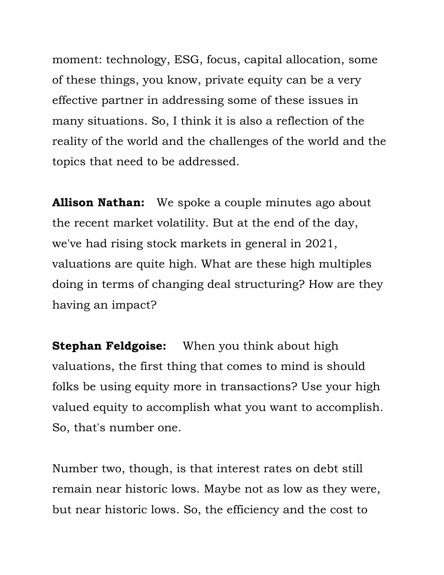moment: technology, ESG, focus, capital allocation, some of these things, you know, private equity can be a very effective partner in addressing some of these issues in many situations. So, I think it is also a reflection of the reality of the world and the challenges of the world and the topics that need to be addressed.

 **Allison Nathan:** We spoke a couple minutes ago about the recent market volatility. But at the end of the day, we've had rising stock markets in general in 2021, valuations are quite high. What are these high multiples doing in terms of changing deal structuring? How are they having an impact?

 **Stephan Feldgoise:** When you think about high valuations, the first thing that comes to mind is should folks be using equity more in transactions? Use your high valued equity to accomplish what you want to accomplish. So, that's number one.

 Number two, though, is that interest rates on debt still but near historic lows. So, the efficiency and the cost to remain near historic lows. Maybe not as low as they were,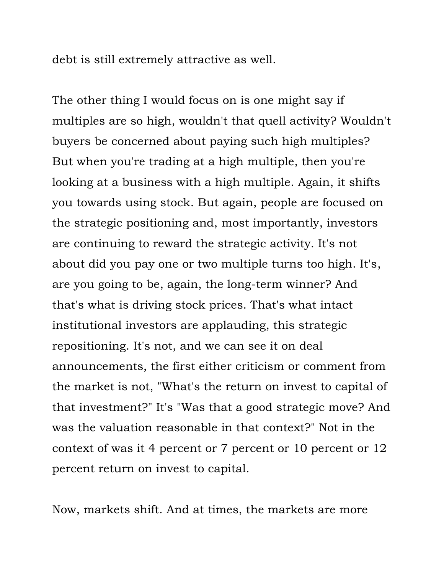debt is still extremely attractive as well.

 The other thing I would focus on is one might say if multiples are so high, wouldn't that quell activity? Wouldn't buyers be concerned about paying such high multiples? But when you're trading at a high multiple, then you're looking at a business with a high multiple. Again, it shifts you towards using stock. But again, people are focused on are continuing to reward the strategic activity. It's not about did you pay one or two multiple turns too high. It's, are you going to be, again, the long-term winner? And that's what is driving stock prices. That's what intact repositioning. It's not, and we can see it on deal announcements, the first either criticism or comment from the market is not, "What's the return on invest to capital of that investment?" It's "Was that a good strategic move? And was the valuation reasonable in that context?" Not in the context of was it 4 percent or 7 percent or 10 percent or 12 the strategic positioning and, most importantly, investors institutional investors are applauding, this strategic percent return on invest to capital.

Now, markets shift. And at times, the markets are more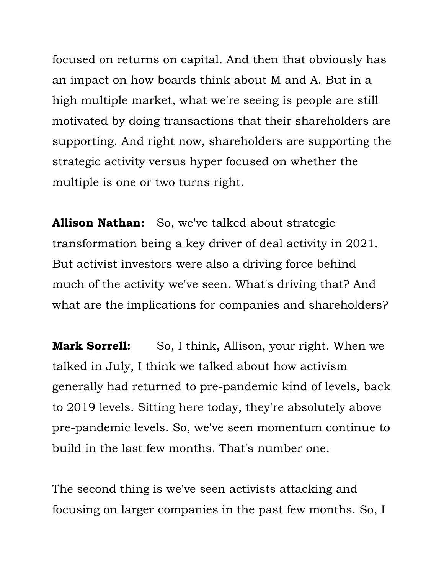an impact on how boards think about M and A. But in a high multiple market, what we're seeing is people are still motivated by doing transactions that their shareholders are supporting. And right now, shareholders are supporting the strategic activity versus hyper focused on whether the multiple is one or two turns right. focused on returns on capital. And then that obviously has

 **Allison Nathan:** So, we've talked about strategic transformation being a key driver of deal activity in 2021. But activist investors were also a driving force behind much of the activity we've seen. What's driving that? And what are the implications for companies and shareholders?

**Mark Sorrell:** So, I think, Allison, your right. When we talked in July, I think we talked about how activism generally had returned to pre-pandemic kind of levels, back to 2019 levels. Sitting here today, they're absolutely above pre-pandemic levels. So, we've seen momentum continue to build in the last few months. That's number one.

 The second thing is we've seen activists attacking and focusing on larger companies in the past few months. So, I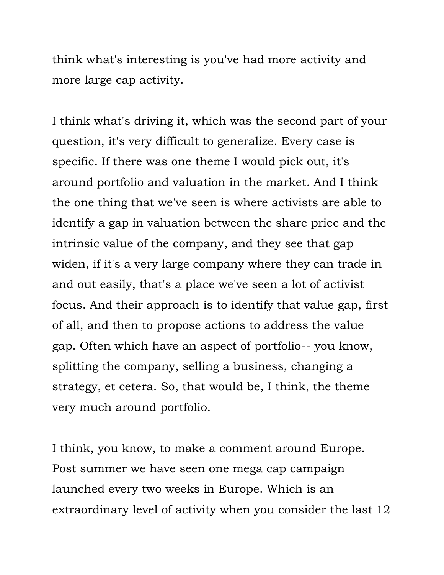think what's interesting is you've had more activity and more large cap activity.

 I think what's driving it, which was the second part of your question, it's very difficult to generalize. Every case is specific. If there was one theme I would pick out, it's around portfolio and valuation in the market. And I think the one thing that we've seen is where activists are able to identify a gap in valuation between the share price and the intrinsic value of the company, and they see that gap widen, if it's a very large company where they can trade in and out easily, that's a place we've seen a lot of activist focus. And their approach is to identify that value gap, first of all, and then to propose actions to address the value gap. Often which have an aspect of portfolio-- you know, splitting the company, selling a business, changing a strategy, et cetera. So, that would be, I think, the theme very much around portfolio.

 I think, you know, to make a comment around Europe. Post summer we have seen one mega cap campaign launched every two weeks in Europe. Which is an extraordinary level of activity when you consider the last 12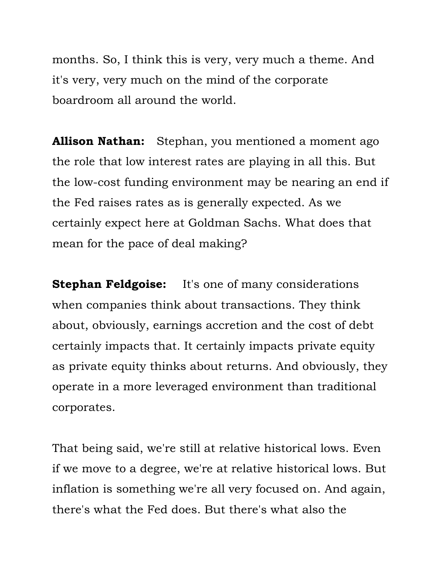months. So, I think this is very, very much a theme. And it's very, very much on the mind of the corporate boardroom all around the world.

 **Allison Nathan:** Stephan, you mentioned a moment ago the role that low interest rates are playing in all this. But the low-cost funding environment may be nearing an end if the Fed raises rates as is generally expected. As we certainly expect here at Goldman Sachs. What does that mean for the pace of deal making?

 **Stephan Feldgoise:** It's one of many considerations when companies think about transactions. They think about, obviously, earnings accretion and the cost of debt certainly impacts that. It certainly impacts private equity as private equity thinks about returns. And obviously, they operate in a more leveraged environment than traditional corporates.

 That being said, we're still at relative historical lows. Even if we move to a degree, we're at relative historical lows. But inflation is something we're all very focused on. And again, there's what the Fed does. But there's what also the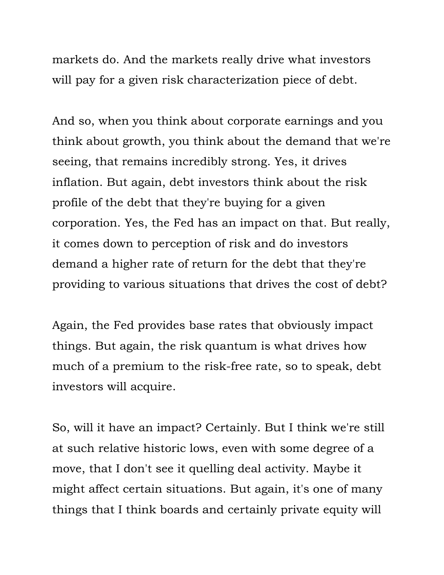markets do. And the markets really drive what investors will pay for a given risk characterization piece of debt.

 And so, when you think about corporate earnings and you think about growth, you think about the demand that we're seeing, that remains incredibly strong. Yes, it drives inflation. But again, debt investors think about the risk profile of the debt that they're buying for a given corporation. Yes, the Fed has an impact on that. But really, it comes down to perception of risk and do investors demand a higher rate of return for the debt that they're providing to various situations that drives the cost of debt?

 Again, the Fed provides base rates that obviously impact things. But again, the risk quantum is what drives how much of a premium to the risk-free rate, so to speak, debt investors will acquire.

 So, will it have an impact? Certainly. But I think we're still at such relative historic lows, even with some degree of a move, that I don't see it quelling deal activity. Maybe it might affect certain situations. But again, it's one of many things that I think boards and certainly private equity will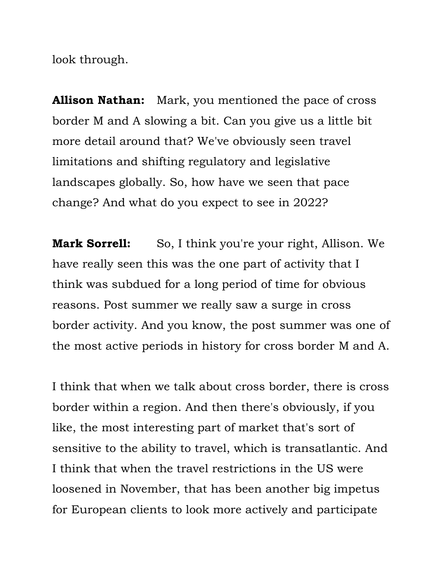look through.

 **Allison Nathan:** Mark, you mentioned the pace of cross border M and A slowing a bit. Can you give us a little bit limitations and shifting regulatory and legislative landscapes globally. So, how have we seen that pace change? And what do you expect to see in 2022? more detail around that? We've obviously seen travel

**Mark Sorrell:** So, I think you're your right, Allison. We have really seen this was the one part of activity that I think was subdued for a long period of time for obvious reasons. Post summer we really saw a surge in cross border activity. And you know, the post summer was one of the most active periods in history for cross border M and A.

 I think that when we talk about cross border, there is cross border within a region. And then there's obviously, if you like, the most interesting part of market that's sort of sensitive to the ability to travel, which is transatlantic. And I think that when the travel restrictions in the US were loosened in November, that has been another big impetus for European clients to look more actively and participate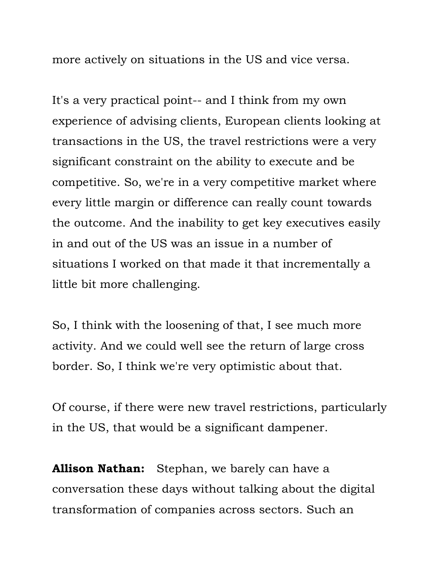more actively on situations in the US and vice versa.

 It's a very practical point-- and I think from my own experience of advising clients, European clients looking at transactions in the US, the travel restrictions were a very significant constraint on the ability to execute and be competitive. So, we're in a very competitive market where every little margin or difference can really count towards the outcome. And the inability to get key executives easily in and out of the US was an issue in a number of situations I worked on that made it that incrementally a little bit more challenging.

 So, I think with the loosening of that, I see much more activity. And we could well see the return of large cross border. So, I think we're very optimistic about that.

 Of course, if there were new travel restrictions, particularly in the US, that would be a significant dampener.

 **Allison Nathan:** Stephan, we barely can have a conversation these days without talking about the digital transformation of companies across sectors. Such an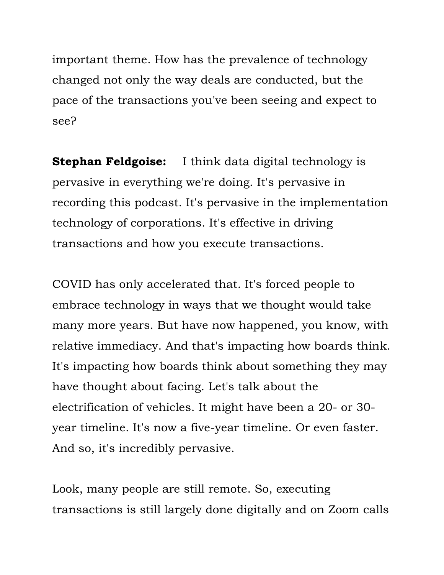important theme. How has the prevalence of technology changed not only the way deals are conducted, but the pace of the transactions you've been seeing and expect to see?

 **Stephan Feldgoise:** I think data digital technology is pervasive in everything we're doing. It's pervasive in recording this podcast. It's pervasive in the implementation technology of corporations. It's effective in driving transactions and how you execute transactions.

 COVID has only accelerated that. It's forced people to embrace technology in ways that we thought would take many more years. But have now happened, you know, with relative immediacy. And that's impacting how boards think. It's impacting how boards think about something they may have thought about facing. Let's talk about the electrification of vehicles. It might have been a 20- or 30- year timeline. It's now a five-year timeline. Or even faster. And so, it's incredibly pervasive.

 Look, many people are still remote. So, executing transactions is still largely done digitally and on Zoom calls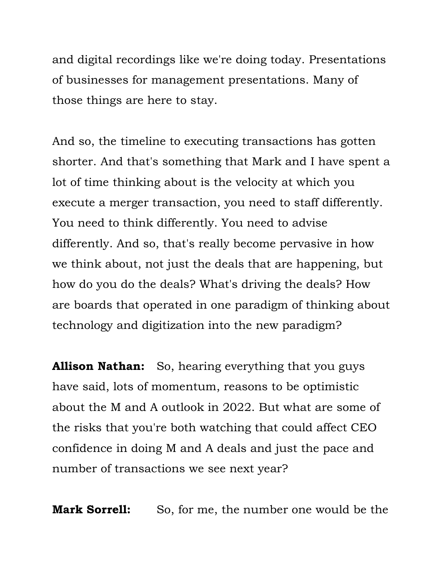and digital recordings like we're doing today. Presentations of businesses for management presentations. Many of those things are here to stay.

 And so, the timeline to executing transactions has gotten shorter. And that's something that Mark and I have spent a lot of time thinking about is the velocity at which you execute a merger transaction, you need to staff differently. You need to think differently. You need to advise differently. And so, that's really become pervasive in how we think about, not just the deals that are happening, but how do you do the deals? What's driving the deals? How are boards that operated in one paradigm of thinking about technology and digitization into the new paradigm?

 **Allison Nathan:** So, hearing everything that you guys have said, lots of momentum, reasons to be optimistic about the M and A outlook in 2022. But what are some of the risks that you're both watching that could affect CEO confidence in doing M and A deals and just the pace and number of transactions we see next year?

**Mark Sorrell:** So, for me, the number one would be the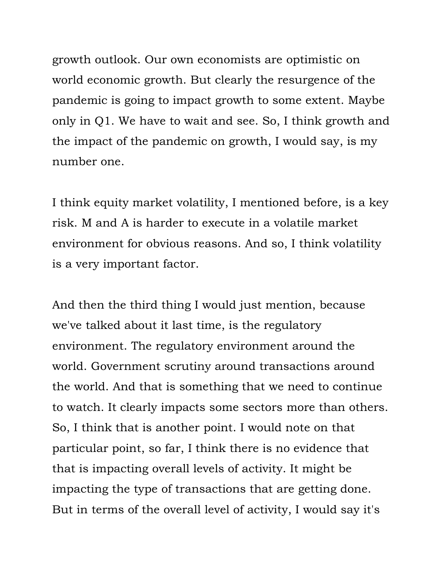growth outlook. Our own economists are optimistic on world economic growth. But clearly the resurgence of the pandemic is going to impact growth to some extent. Maybe only in Q1. We have to wait and see. So, I think growth and the impact of the pandemic on growth, I would say, is my number one.

 I think equity market volatility, I mentioned before, is a key risk. M and A is harder to execute in a volatile market environment for obvious reasons. And so, I think volatility is a very important factor.

 And then the third thing I would just mention, because we've talked about it last time, is the regulatory environment. The regulatory environment around the the world. And that is something that we need to continue to watch. It clearly impacts some sectors more than others. So, I think that is another point. I would note on that particular point, so far, I think there is no evidence that that is impacting overall levels of activity. It might be impacting the type of transactions that are getting done. But in terms of the overall level of activity, I would say it's world. Government scrutiny around transactions around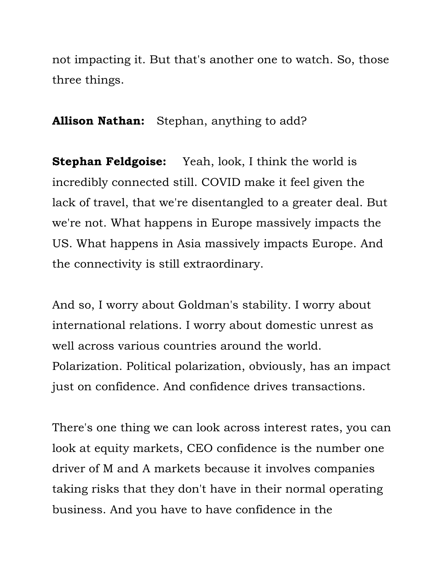not impacting it. But that's another one to watch. So, those three things.

**Allison Nathan:** Stephan, anything to add?

 **Stephan Feldgoise:** Yeah, look, I think the world is incredibly connected still. COVID make it feel given the lack of travel, that we're disentangled to a greater deal. But we're not. What happens in Europe massively impacts the US. What happens in Asia massively impacts Europe. And the connectivity is still extraordinary.

 And so, I worry about Goldman's stability. I worry about international relations. I worry about domestic unrest as well across various countries around the world. Polarization. Political polarization, obviously, has an impact just on confidence. And confidence drives transactions.

 There's one thing we can look across interest rates, you can look at equity markets, CEO confidence is the number one driver of M and A markets because it involves companies taking risks that they don't have in their normal operating business. And you have to have confidence in the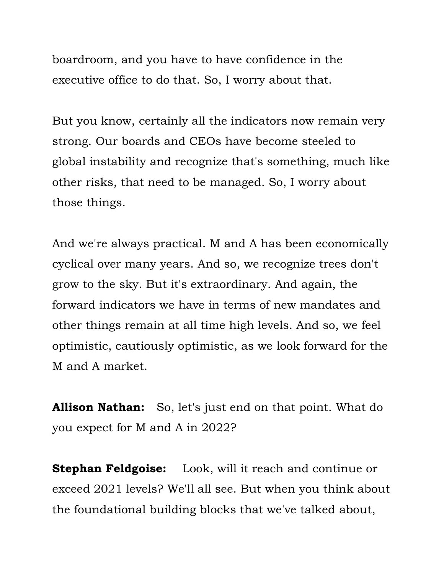boardroom, and you have to have confidence in the executive office to do that. So, I worry about that.

 But you know, certainly all the indicators now remain very strong. Our boards and CEOs have become steeled to global instability and recognize that's something, much like other risks, that need to be managed. So, I worry about those things.

 cyclical over many years. And so, we recognize trees don't grow to the sky. But it's extraordinary. And again, the forward indicators we have in terms of new mandates and other things remain at all time high levels. And so, we feel optimistic, cautiously optimistic, as we look forward for the And we're always practical. M and A has been economically M and A market.

 **Allison Nathan:** So, let's just end on that point. What do you expect for M and A in 2022?

 **Stephan Feldgoise:** Look, will it reach and continue or exceed 2021 levels? We'll all see. But when you think about the foundational building blocks that we've talked about,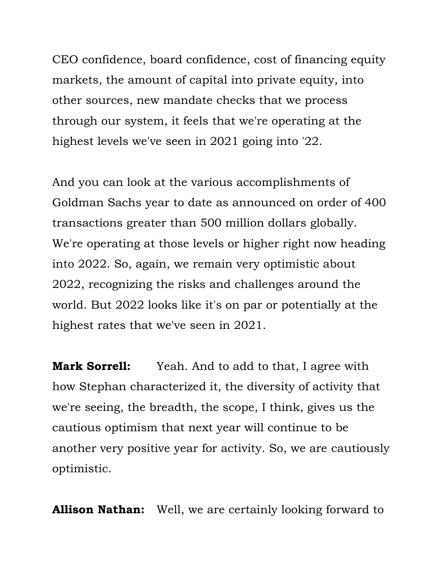CEO confidence, board confidence, cost of financing equity markets, the amount of capital into private equity, into other sources, new mandate checks that we process through our system, it feels that we're operating at the highest levels we've seen in 2021 going into '22.

 And you can look at the various accomplishments of Goldman Sachs year to date as announced on order of 400 transactions greater than 500 million dollars globally. We're operating at those levels or higher right now heading into 2022. So, again, we remain very optimistic about 2022, recognizing the risks and challenges around the world. But 2022 looks like it's on par or potentially at the highest rates that we've seen in 2021.

 **Mark Sorrell:** Yeah. And to add to that, I agree with how Stephan characterized it, the diversity of activity that we're seeing, the breadth, the scope, I think, gives us the cautious optimism that next year will continue to be another very positive year for activity. So, we are cautiously optimistic.

**Allison Nathan:** Well, we are certainly looking forward to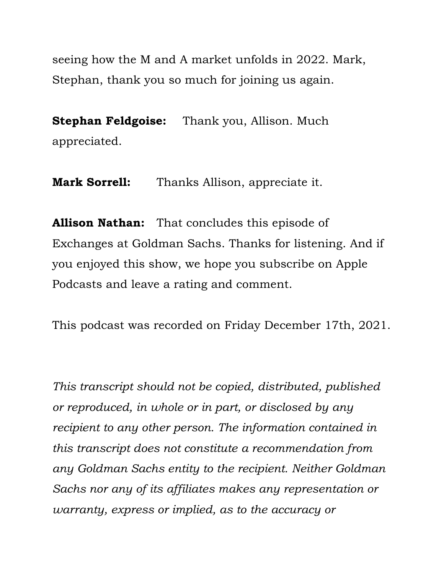seeing how the M and A market unfolds in 2022. Mark, Stephan, thank you so much for joining us again.

 **Stephan Feldgoise:** Thank you, Allison. Much appreciated.

**Mark Sorrell:** Thanks Allison, appreciate it.

 **Allison Nathan:** That concludes this episode of Exchanges at Goldman Sachs. Thanks for listening. And if you enjoyed this show, we hope you subscribe on Apple Podcasts and leave a rating and comment.

This podcast was recorded on Friday December 17th, 2021.

 *This transcript should not be copied, distributed, published this transcript does not constitute a recommendation from or reproduced, in whole or in part, or disclosed by any recipient to any other person. The information contained in any Goldman Sachs entity to the recipient. Neither Goldman Sachs nor any of its affiliates makes any representation or warranty, express or implied, as to the accuracy or*